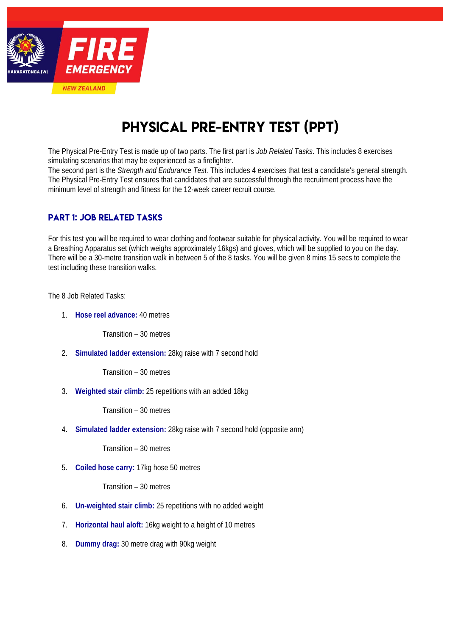

# PHYSICAL PRE-ENTRY TEST (PPT)

The Physical Pre-Entry Test is made up of two parts. The first part is *Job Related Tasks*. This includes 8 exercises simulating scenarios that may be experienced as a firefighter.

The second part is the *Strength and Endurance Test.* This includes 4 exercises that test a candidate's general strength. The Physical Pre-Entry Test ensures that candidates that are successful through the recruitment process have the minimum level of strength and fitness for the 12-week career recruit course.

## PART 1: JOB RELATED TASKS

For this test you will be required to wear clothing and footwear suitable for physical activity. You will be required to wear a Breathing Apparatus set (which weighs approximately 16kgs) and gloves, which will be supplied to you on the day. There will be a 30-metre transition walk in between 5 of the 8 tasks. You will be given 8 mins 15 secs to complete the test including these transition walks.

The 8 Job Related Tasks:

1. **Hose reel advance:** 40 metres

Transition – 30 metres

2. **Simulated ladder extension:** 28kg raise with 7 second hold

Transition – 30 metres

3. **Weighted stair climb:** 25 repetitions with an added 18kg

Transition – 30 metres

4. **Simulated ladder extension:** 28kg raise with 7 second hold (opposite arm)

Transition – 30 metres

5. **Coiled hose carry:** 17kg hose 50 metres

Transition – 30 metres

- 6. **Un-weighted stair climb:** 25 repetitions with no added weight
- 7. **Horizontal haul aloft:** 16kg weight to a height of 10 metres
- 8. **Dummy drag:** 30 metre drag with 90kg weight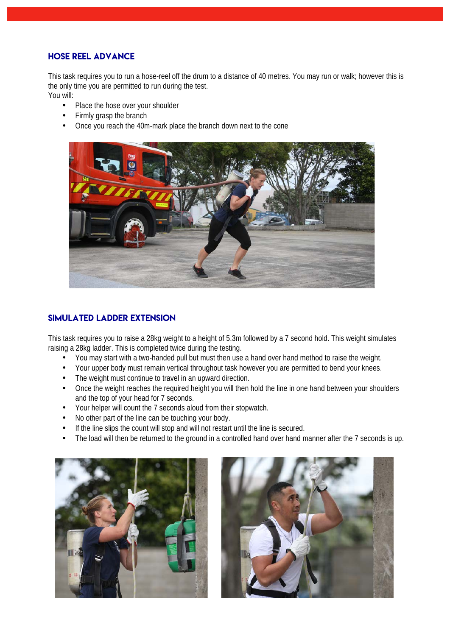#### HOSE REEL ADVANCE

This task requires you to run a hose-reel off the drum to a distance of 40 metres. You may run or walk; however this is the only time you are permitted to run during the test. You will:

- Place the hose over your shoulder
- Firmly grasp the branch
- Once you reach the 40m-mark place the branch down next to the cone



## SIMULATED LADDER EXTENSION

This task requires you to raise a 28kg weight to a height of 5.3m followed by a 7 second hold. This weight simulates raising a 28kg ladder. This is completed twice during the testing.

- You may start with a two-handed pull but must then use a hand over hand method to raise the weight.
- Your upper body must remain vertical throughout task however you are permitted to bend your knees.
- The weight must continue to travel in an upward direction.
- Once the weight reaches the required height you will then hold the line in one hand between your shoulders and the top of your head for 7 seconds.
- Your helper will count the 7 seconds aloud from their stopwatch.
- No other part of the line can be touching your body.
- If the line slips the count will stop and will not restart until the line is secured.
- The load will then be returned to the ground in a controlled hand over hand manner after the 7 seconds is up.



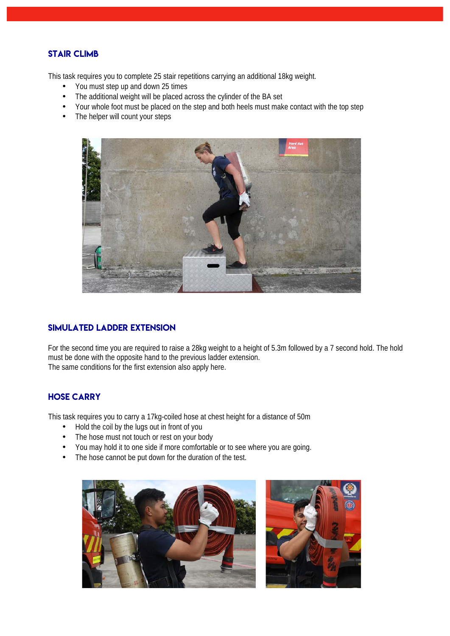#### STAIR CLIMB

This task requires you to complete 25 stair repetitions carrying an additional 18kg weight.

- You must step up and down 25 times
- The additional weight will be placed across the cylinder of the BA set
- Your whole foot must be placed on the step and both heels must make contact with the top step
- The helper will count your steps



#### SIMULATED LADDER EXTENSION

For the second time you are required to raise a 28kg weight to a height of 5.3m followed by a 7 second hold. The hold must be done with the opposite hand to the previous ladder extension. The same conditions for the first extension also apply here.

#### Hose Carry

This task requires you to carry a 17kg-coiled hose at chest height for a distance of 50m

- Hold the coil by the lugs out in front of you<br>• The bose must not touch or rest on your bo
- The hose must not touch or rest on your body
- You may hold it to one side if more comfortable or to see where you are going.
- The hose cannot be put down for the duration of the test.



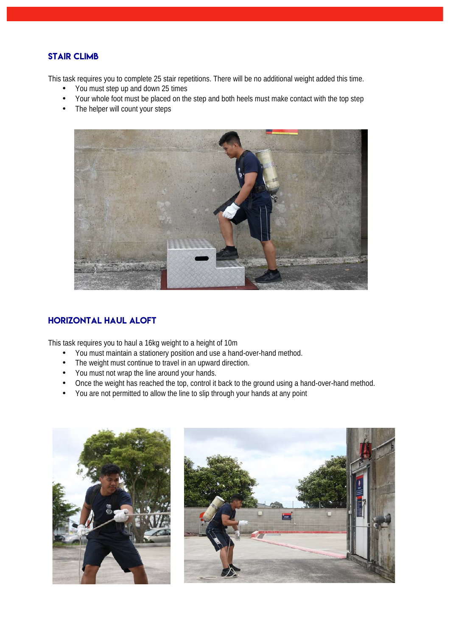#### STAIR CLIMB

This task requires you to complete 25 stair repetitions. There will be no additional weight added this time.

- You must step up and down 25 times
- Your whole foot must be placed on the step and both heels must make contact with the top step
- The helper will count your steps



#### Horizontal HAUL ALOFT

This task requires you to haul a 16kg weight to a height of 10m

- You must maintain a stationery position and use a hand-over-hand method.
- The weight must continue to travel in an upward direction.
- You must not wrap the line around your hands.
- Once the weight has reached the top, control it back to the ground using a hand-over-hand method.
- You are not permitted to allow the line to slip through your hands at any point



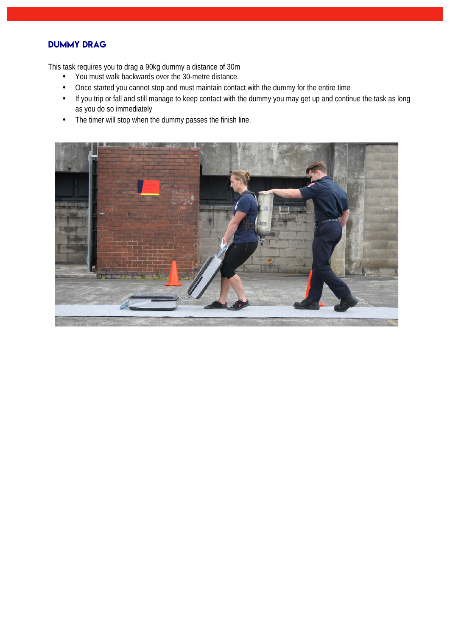# DUMMY Drag

This task requires you to drag a 90kg dummy a distance of 30m

- You must walk backwards over the 30-metre distance.
- Once started you cannot stop and must maintain contact with the dummy for the entire time
- If you trip or fall and still manage to keep contact with the dummy you may get up and continue the task as long as you do so immediately
- The timer will stop when the dummy passes the finish line.

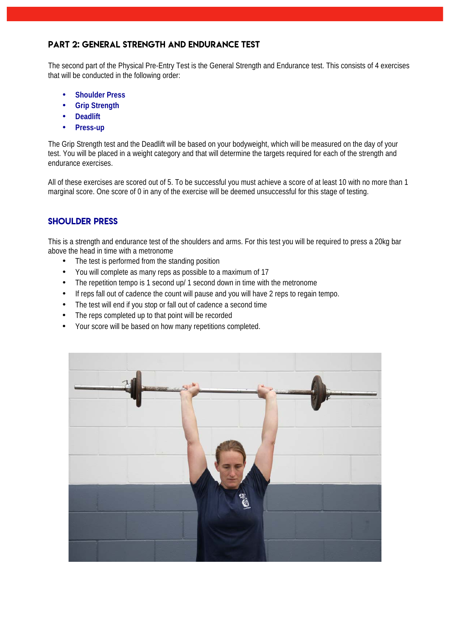#### PART 2: General Strength and endurance test

The second part of the Physical Pre-Entry Test is the General Strength and Endurance test. This consists of 4 exercises that will be conducted in the following order:

- **Shoulder Press**
- **Grip Strength**
- **Deadlift**
- **Press-up**

The Grip Strength test and the Deadlift will be based on your bodyweight, which will be measured on the day of your test. You will be placed in a weight category and that will determine the targets required for each of the strength and endurance exercises.

All of these exercises are scored out of 5. To be successful you must achieve a score of at least 10 with no more than 1 marginal score. One score of 0 in any of the exercise will be deemed unsuccessful for this stage of testing.

#### Shoulder Press

This is a strength and endurance test of the shoulders and arms. For this test you will be required to press a 20kg bar above the head in time with a metronome

- The test is performed from the standing position
- You will complete as many reps as possible to a maximum of 17
- The repetition tempo is 1 second up/ 1 second down in time with the metronome
- If reps fall out of cadence the count will pause and you will have 2 reps to regain tempo.
- The test will end if you stop or fall out of cadence a second time
- The reps completed up to that point will be recorded
- Your score will be based on how many repetitions completed.

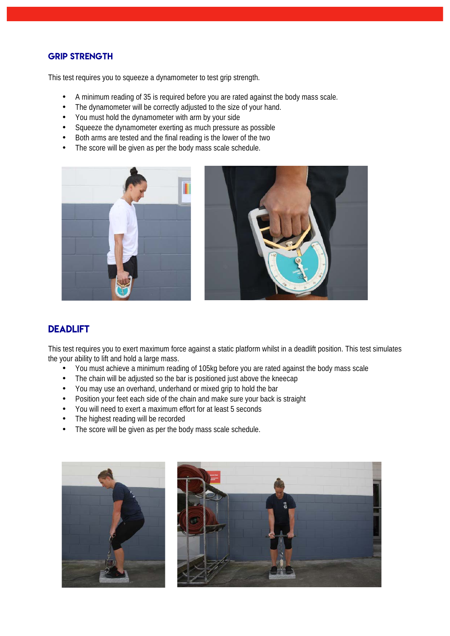#### **GRIP STRENGTH**

This test requires you to squeeze a dynamometer to test grip strength.

- A minimum reading of 35 is required before you are rated against the body mass scale.
- The dynamometer will be correctly adjusted to the size of your hand.
- You must hold the dynamometer with arm by your side
- Squeeze the dynamometer exerting as much pressure as possible
- Both arms are tested and the final reading is the lower of the two
- The score will be given as per the body mass scale schedule.





# **DEADLIFT**

This test requires you to exert maximum force against a static platform whilst in a deadlift position. This test simulates the your ability to lift and hold a large mass.

- You must achieve a minimum reading of 105kg before you are rated against the body mass scale
- The chain will be adjusted so the bar is positioned just above the kneecap
- You may use an overhand, underhand or mixed grip to hold the bar
- Position your feet each side of the chain and make sure your back is straight
- You will need to exert a maximum effort for at least 5 seconds
- The highest reading will be recorded
- The score will be given as per the body mass scale schedule.



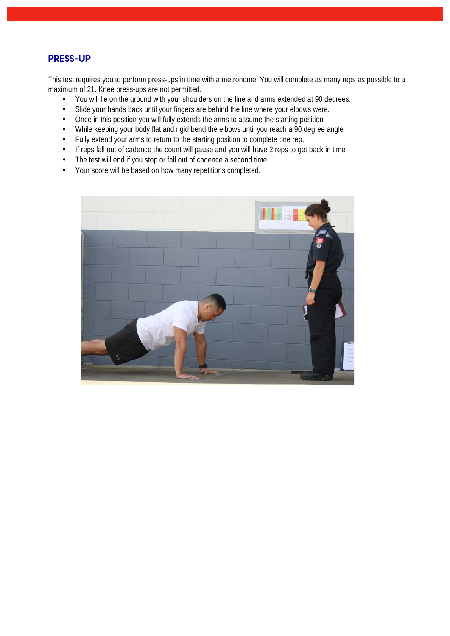## Press-Up

This test requires you to perform press-ups in time with a metronome. You will complete as many reps as possible to a maximum of 21. Knee press-ups are not permitted.

- You will lie on the ground with your shoulders on the line and arms extended at 90 degrees.
- Slide your hands back until your fingers are behind the line where your elbows were.
- Once in this position you will fully extends the arms to assume the starting position
- While keeping your body flat and rigid bend the elbows until you reach a 90 degree angle
- Fully extend your arms to return to the starting position to complete one rep.
- If reps fall out of cadence the count will pause and you will have 2 reps to get back in time
- The test will end if you stop or fall out of cadence a second time
- Your score will be based on how many repetitions completed.